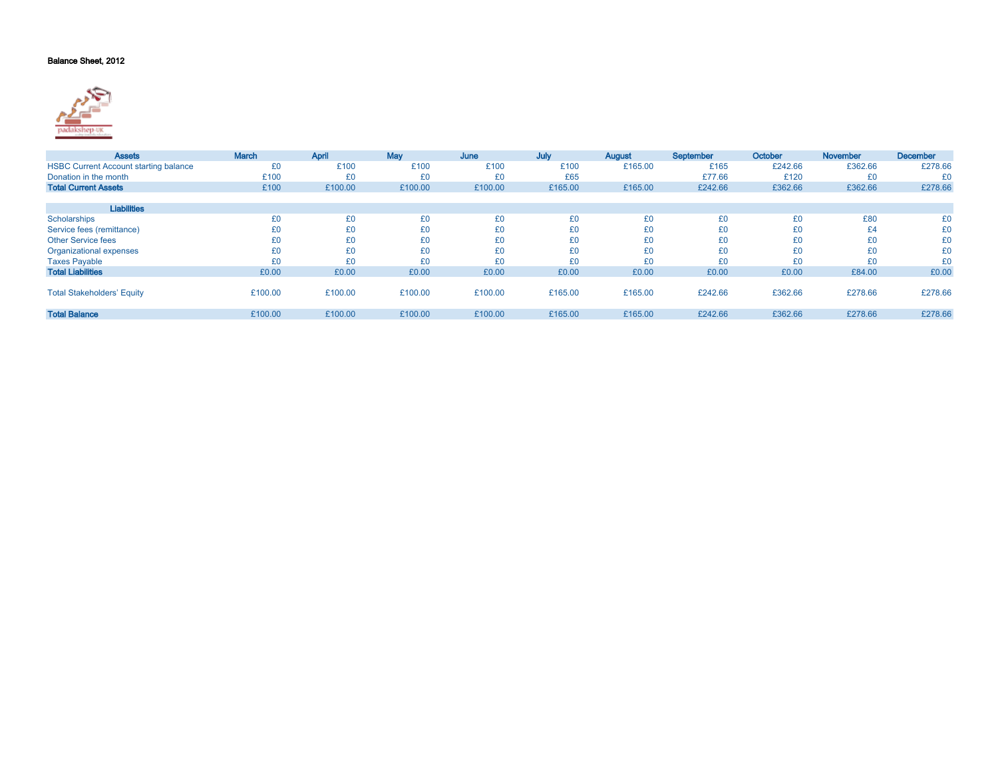## Balance Sheet, 2012



| <b>Assets</b>                                | <b>March</b> | April   | May     | June    | July    | August  | September | October | <b>November</b> | <b>December</b> |
|----------------------------------------------|--------------|---------|---------|---------|---------|---------|-----------|---------|-----------------|-----------------|
| <b>HSBC Current Account starting balance</b> | £0           | £100    | £100    | £100    | £100    | £165.00 | £165      | £242.66 | £362.66         | £278.66         |
| Donation in the month                        | £100         | £0      | £0      | £0      | £65     |         | £77.66    | £120    | £0              | £0              |
| <b>Total Current Assets</b>                  | £100         | £100.00 | £100.00 | £100.00 | £165.00 | £165.00 | £242.66   | £362.66 | £362.66         | £278.66         |
|                                              |              |         |         |         |         |         |           |         |                 |                 |
| <b>Liabilities</b>                           |              |         |         |         |         |         |           |         |                 |                 |
| Scholarships                                 | £0           | £0      | £0      | £0      | £0      | £0      | £0        | £0      | £80             | £0              |
| Service fees (remittance)                    | £0           | £0      | £0      | £0      | £0      | £0      | £0        | £0      | £4              | £0              |
| <b>Other Service fees</b>                    | £0           | £0      | £0      | £0      | £0      | £0      | £0        | £0      | £0              | £0              |
| Organizational expenses                      | £0           | £0      | £0      | £0      | £0      | £0      | £0        | £0      | £0              | £0              |
| <b>Taxes Payable</b>                         | £0           | £0      | £0      | £0      | £0      | £0      | £0        | £0      | £0              | £0              |
| <b>Total Liabilities</b>                     | £0.00        | £0.00   | £0.00   | £0.00   | £0.00   | £0.00   | £0.00     | £0.00   | £84.00          | £0.00           |
|                                              |              |         |         |         |         |         |           |         |                 |                 |
| <b>Total Stakeholders' Equity</b>            | £100.00      | £100.00 | £100.00 | £100.00 | £165.00 | £165.00 | £242.66   | £362.66 | £278.66         | £278.66         |
|                                              |              |         |         |         |         |         |           |         |                 |                 |
| <b>Total Balance</b>                         | £100.00      | £100.00 | £100.00 | £100.00 | £165.00 | £165.00 | £242.66   | £362.66 | £278.66         | £278.66         |
|                                              |              |         |         |         |         |         |           |         |                 |                 |